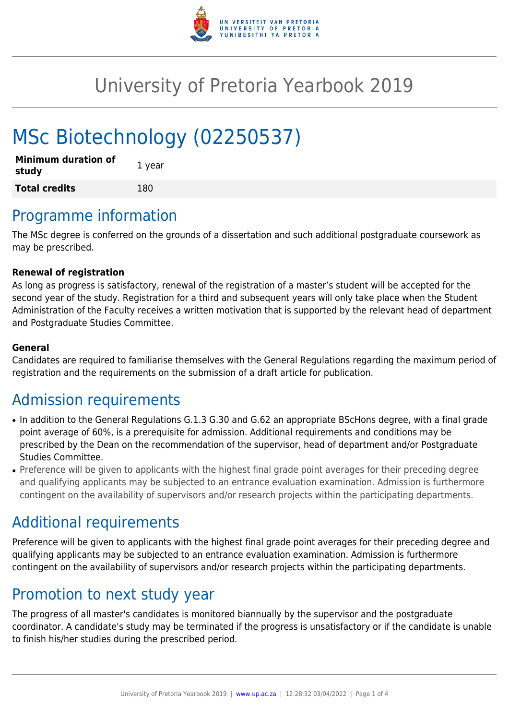

## University of Pretoria Yearbook 2019

# MSc Biotechnology (02250537)

| <b>Minimum duration of</b><br>study | 1 year |
|-------------------------------------|--------|
| <b>Total credits</b>                | 180    |

### Programme information

The MSc degree is conferred on the grounds of a dissertation and such additional postgraduate coursework as may be prescribed.

#### **Renewal of registration**

As long as progress is satisfactory, renewal of the registration of a master's student will be accepted for the second year of the study. Registration for a third and subsequent years will only take place when the Student Administration of the Faculty receives a written motivation that is supported by the relevant head of department and Postgraduate Studies Committee.

#### **General**

Candidates are required to familiarise themselves with the General Regulations regarding the maximum period of registration and the requirements on the submission of a draft article for publication.

### Admission requirements

- In addition to the General Regulations G.1.3 G.30 and G.62 an appropriate BScHons degree, with a final grade point average of 60%, is a prerequisite for admission. Additional requirements and conditions may be prescribed by the Dean on the recommendation of the supervisor, head of department and/or Postgraduate Studies Committee.
- Preference will be given to applicants with the highest final grade point averages for their preceding degree and qualifying applicants may be subjected to an entrance evaluation examination. Admission is furthermore contingent on the availability of supervisors and/or research projects within the participating departments.

### Additional requirements

Preference will be given to applicants with the highest final grade point averages for their preceding degree and qualifying applicants may be subjected to an entrance evaluation examination. Admission is furthermore contingent on the availability of supervisors and/or research projects within the participating departments.

### Promotion to next study year

The progress of all master's candidates is monitored biannually by the supervisor and the postgraduate coordinator. A candidate's study may be terminated if the progress is unsatisfactory or if the candidate is unable to finish his/her studies during the prescribed period.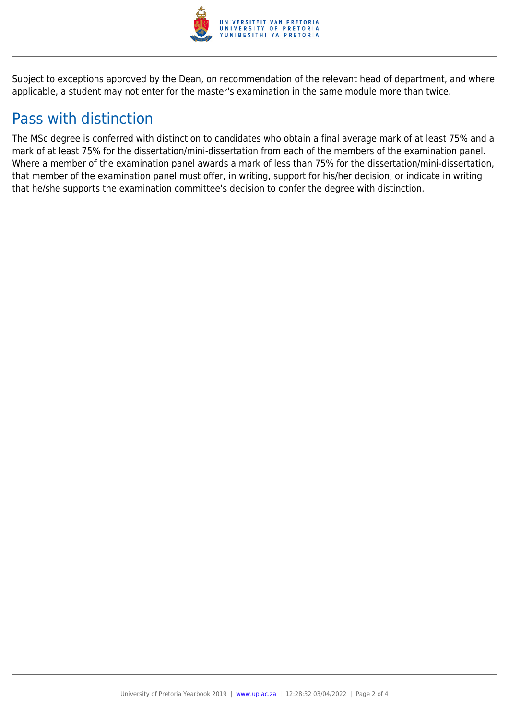

Subject to exceptions approved by the Dean, on recommendation of the relevant head of department, and where applicable, a student may not enter for the master's examination in the same module more than twice.

### Pass with distinction

The MSc degree is conferred with distinction to candidates who obtain a final average mark of at least 75% and a mark of at least 75% for the dissertation/mini-dissertation from each of the members of the examination panel. Where a member of the examination panel awards a mark of less than 75% for the dissertation/mini-dissertation, that member of the examination panel must offer, in writing, support for his/her decision, or indicate in writing that he/she supports the examination committee's decision to confer the degree with distinction.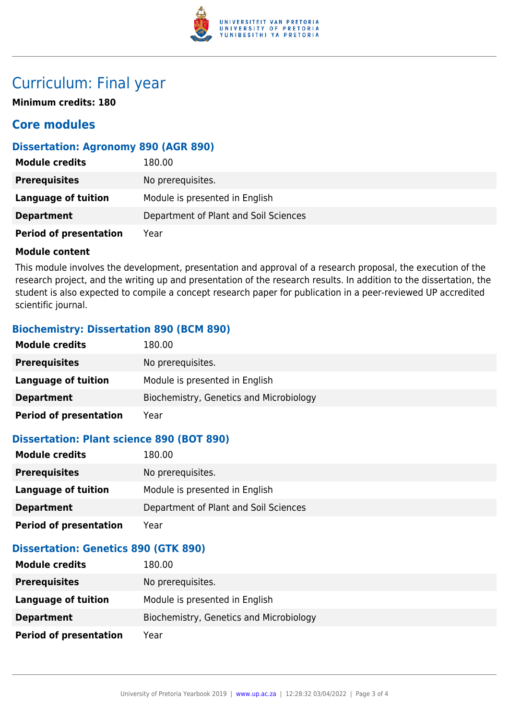

### Curriculum: Final year

**Minimum credits: 180**

### **Core modules**

#### **Dissertation: Agronomy 890 (AGR 890)**

| <b>Module credits</b>         | 180.00                                |
|-------------------------------|---------------------------------------|
| <b>Prerequisites</b>          | No prerequisites.                     |
| Language of tuition           | Module is presented in English        |
| <b>Department</b>             | Department of Plant and Soil Sciences |
| <b>Period of presentation</b> | Year                                  |

#### **Module content**

This module involves the development, presentation and approval of a research proposal, the execution of the research project, and the writing up and presentation of the research results. In addition to the dissertation, the student is also expected to compile a concept research paper for publication in a peer-reviewed UP accredited scientific journal.

### **Biochemistry: Dissertation 890 (BCM 890)**

| <b>Module credits</b>         | 180.00                                  |
|-------------------------------|-----------------------------------------|
| <b>Prerequisites</b>          | No prerequisites.                       |
| Language of tuition           | Module is presented in English          |
| <b>Department</b>             | Biochemistry, Genetics and Microbiology |
| <b>Period of presentation</b> | Year                                    |

#### **Dissertation: Plant science 890 (BOT 890)**

| <b>Module credits</b>         | 180.00                                |
|-------------------------------|---------------------------------------|
| <b>Prerequisites</b>          | No prerequisites.                     |
| Language of tuition           | Module is presented in English        |
| <b>Department</b>             | Department of Plant and Soil Sciences |
| <b>Period of presentation</b> | Year                                  |

### **Dissertation: Genetics 890 (GTK 890)**

| <b>Module credits</b>         | 180.00                                  |
|-------------------------------|-----------------------------------------|
| <b>Prerequisites</b>          | No prerequisites.                       |
| Language of tuition           | Module is presented in English          |
| <b>Department</b>             | Biochemistry, Genetics and Microbiology |
| <b>Period of presentation</b> | Year                                    |